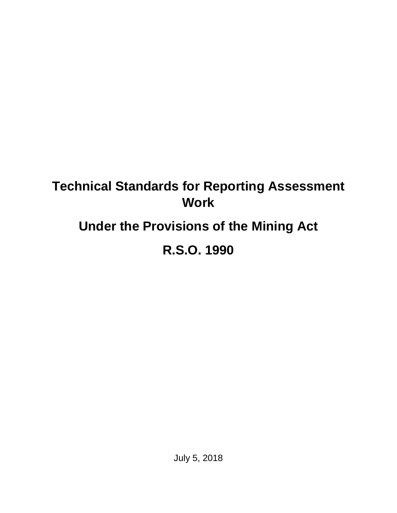## **Technical Standards for Reporting Assessment Work**

# **Under the Provisions of the Mining Act**

# **R.S.O. 1990**

July 5, 2018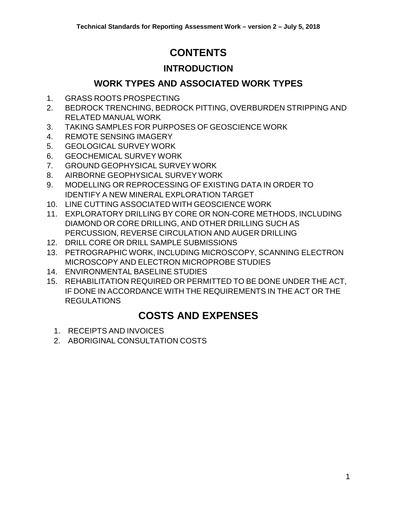## **CONTENTS**

## **[INTRODUCTION](#page-2-0)**

## **[WORK TYPES AND ASSOCIATED WORK TYPES](#page-3-0)**

- 1. GRASS ROOTS [PROSPECTING](#page-3-1)
- 2. BEDROCK TRENCHING, BEDROCK PITTING, [OVERBURDEN](#page-4-0) STRIPPING AND [RELATED](#page-4-0) MANUAL WORK
- 3. TAKING SAMPLES FOR PURPOSES OF [GEOSCIENCE](#page-6-0) WORK
- 4. REMOTE SENSING [IMAGERY](#page-7-0)
- 5. [GEOLOGICAL](#page-9-0) SURVEY WORK
- 6. [GEOCHEMICAL](#page-12-0) SURVEY WORK
- 7. GROUND [GEOPHYSICAL](#page-14-0) SURVEY WORK
- 8. AIRBORNE [GEOPHYSICAL](#page-18-0) SURVEY WORK
- 9. MODELLING OR [REPROCESSING](#page-20-0) OF EXISTING DATA IN ORDER TO IDENTIFY A NEW MINERAL [EXPLORATION](#page-20-0) TARGET
- 10. LINE CUTTING ASSOCIATED WITH [GEOSCIENCE](#page-22-0) WORK
- 11. [EXPLORATORY](#page-22-1) DRILLING BY CORE OR NON-CORE METHODS, INCLUDING DIAMOND OR CORE [DRILLING,](#page-22-1) AND OTHER DRILLING SUCH AS [PERCUSSION,](#page-22-1) REVERSE CIRCULATION AND AUGER DRILLING
- 12. DRILL CORE OR DRILL SAMPLE [SUBMISSIONS](#page-26-0)
- 13. [PETROGRAPHIC](#page-27-0) WORK, INCLUDING MICROSCOPY, SCANNING ELECTRON [MICROSCOPY](#page-27-0) AND ELECTRON MICROPROBE STUDIES
- 14. [ENVIRONMENTAL](#page-29-0) BASELINE STUDIES
- 15. [REHABILITATION](#page-30-0) REQUIRED OR PERMITTED TO BE DONE UNDER THE ACT, IF DONE IN ACCORDANCE WITH THE [REQUIREMENTS](#page-30-0) IN THE ACT OR THE [REGULATIONS](#page-30-0)

## **[COSTS AND EXPENSES](#page-32-0)**

- 1. [RECEIPTS](#page-32-1) AND INVOICES
- 2. ABORIGINAL [CONSULTATION](#page-32-2) COSTS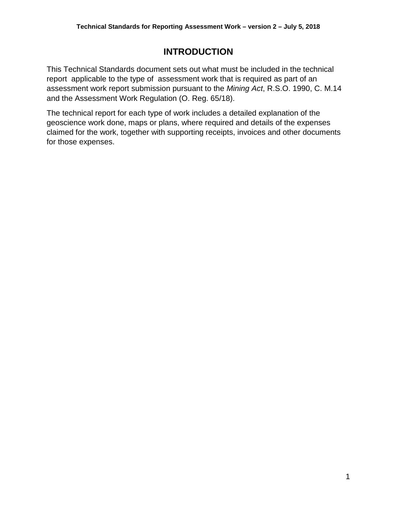### **INTRODUCTION**

<span id="page-2-0"></span>This Technical Standards document sets out what must be included in the technical report applicable to the type of assessment work that is required as part of an assessment work report submission pursuant to the *Mining Act*, R.S.O. 1990, C. M.14 and the Assessment Work Regulation (O. Reg. 65/18).

The technical report for each type of work includes a detailed explanation of the geoscience work done, maps or plans, where required and details of the expenses claimed for the work, together with supporting receipts, invoices and other documents for those expenses.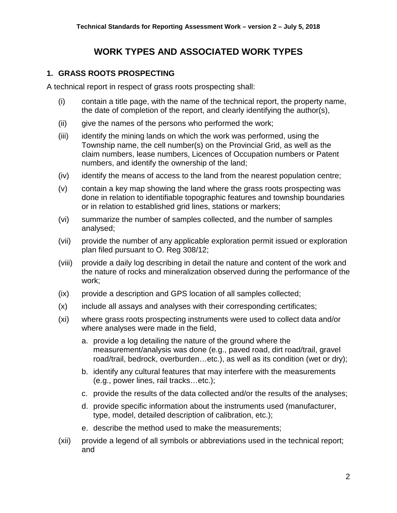## **WORK TYPES AND ASSOCIATED WORK TYPES**

#### <span id="page-3-1"></span><span id="page-3-0"></span>**1. GRASS ROOTS PROSPECTING**

A technical report in respect of grass roots prospecting shall:

- (i) contain a title page, with the name of the technical report, the property name, the date of completion of the report, and clearly identifying the author(s),
- (ii) give the names of the persons who performed the work;
- (iii) identify the mining lands on which the work was performed, using the Township name, the cell number(s) on the Provincial Grid, as well as the claim numbers, lease numbers, Licences of Occupation numbers or Patent numbers, and identify the ownership of the land;
- (iv) identify the means of access to the land from the nearest population centre;
- (v) contain a key map showing the land where the grass roots prospecting was done in relation to identifiable topographic features and township boundaries or in relation to established grid lines, stations or markers;
- (vi) summarize the number of samples collected, and the number of samples analysed;
- (vii) provide the number of any applicable exploration permit issued or exploration plan filed pursuant to O. Reg 308/12;
- (viii) provide a daily log describing in detail the nature and content of the work and the nature of rocks and mineralization observed during the performance of the work;
- (ix) provide a description and GPS location of all samples collected;
- (x) include all assays and analyses with their corresponding certificates;
- (xi) where grass roots prospecting instruments were used to collect data and/or where analyses were made in the field,
	- a. provide a log detailing the nature of the ground where the measurement/analysis was done (e.g., paved road, dirt road/trail, gravel road/trail, bedrock, overburden…etc.), as well as its condition (wet or dry);
	- b. identify any cultural features that may interfere with the measurements (e.g., power lines, rail tracks…etc.);
	- c. provide the results of the data collected and/or the results of the analyses;
	- d. provide specific information about the instruments used (manufacturer, type, model, detailed description of calibration, etc.);
	- e. describe the method used to make the measurements;
- (xii) provide a legend of all symbols or abbreviations used in the technical report; and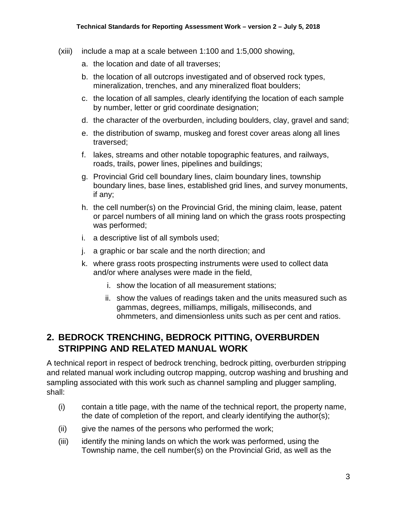- (xiii) include a map at a scale between 1:100 and 1:5,000 showing,
	- a. the location and date of all traverses;
	- b. the location of all outcrops investigated and of observed rock types, mineralization, trenches, and any mineralized float boulders;
	- c. the location of all samples, clearly identifying the location of each sample by number, letter or grid coordinate designation;
	- d. the character of the overburden, including boulders, clay, gravel and sand;
	- e. the distribution of swamp, muskeg and forest cover areas along all lines traversed;
	- f. lakes, streams and other notable topographic features, and railways, roads, trails, power lines, pipelines and buildings;
	- g. Provincial Grid cell boundary lines, claim boundary lines, township boundary lines, base lines, established grid lines, and survey monuments, if any;
	- h. the cell number(s) on the Provincial Grid, the mining claim, lease, patent or parcel numbers of all mining land on which the grass roots prospecting was performed;
	- i. a descriptive list of all symbols used;
	- j. a graphic or bar scale and the north direction; and
	- k. where grass roots prospecting instruments were used to collect data and/or where analyses were made in the field,
		- i. show the location of all measurement stations;
		- ii. show the values of readings taken and the units measured such as gammas, degrees, milliamps, milligals, milliseconds, and ohmmeters, and dimensionless units such as per cent and ratios.

#### <span id="page-4-0"></span>**2. BEDROCK TRENCHING, BEDROCK PITTING, OVERBURDEN STRIPPING AND RELATED MANUAL WORK**

A technical report in respect of bedrock trenching, bedrock pitting, overburden stripping and related manual work including outcrop mapping, outcrop washing and brushing and sampling associated with this work such as channel sampling and plugger sampling, shall:

- (i) contain a title page, with the name of the technical report, the property name, the date of completion of the report, and clearly identifying the author(s);
- (ii) give the names of the persons who performed the work;
- (iii) identify the mining lands on which the work was performed, using the Township name, the cell number(s) on the Provincial Grid, as well as the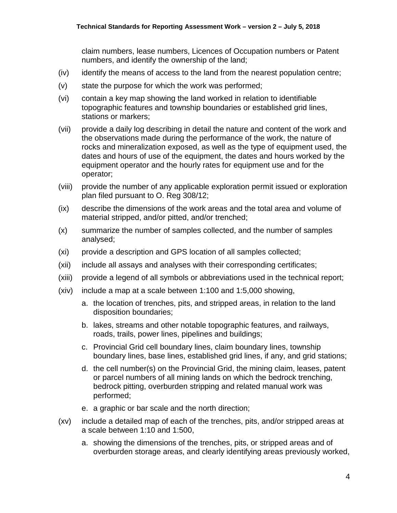claim numbers, lease numbers, Licences of Occupation numbers or Patent numbers, and identify the ownership of the land;

- (iv) identify the means of access to the land from the nearest population centre;
- (v) state the purpose for which the work was performed;
- (vi) contain a key map showing the land worked in relation to identifiable topographic features and township boundaries or established grid lines, stations or markers;
- (vii) provide a daily log describing in detail the nature and content of the work and the observations made during the performance of the work, the nature of rocks and mineralization exposed, as well as the type of equipment used, the dates and hours of use of the equipment, the dates and hours worked by the equipment operator and the hourly rates for equipment use and for the operator;
- (viii) provide the number of any applicable exploration permit issued or exploration plan filed pursuant to O. Reg 308/12;
- (ix) describe the dimensions of the work areas and the total area and volume of material stripped, and/or pitted, and/or trenched;
- (x) summarize the number of samples collected, and the number of samples analysed;
- (xi) provide a description and GPS location of all samples collected;
- (xii) include all assays and analyses with their corresponding certificates;
- (xiii) provide a legend of all symbols or abbreviations used in the technical report;
- (xiv) include a map at a scale between 1:100 and 1:5,000 showing,
	- a. the location of trenches, pits, and stripped areas, in relation to the land disposition boundaries;
	- b. lakes, streams and other notable topographic features, and railways, roads, trails, power lines, pipelines and buildings;
	- c. Provincial Grid cell boundary lines, claim boundary lines, township boundary lines, base lines, established grid lines, if any, and grid stations;
	- d. the cell number(s) on the Provincial Grid, the mining claim, leases, patent or parcel numbers of all mining lands on which the bedrock trenching, bedrock pitting, overburden stripping and related manual work was performed;
	- e. a graphic or bar scale and the north direction;
- (xv) include a detailed map of each of the trenches, pits, and/or stripped areas at a scale between 1:10 and 1:500,
	- a. showing the dimensions of the trenches, pits, or stripped areas and of overburden storage areas, and clearly identifying areas previously worked,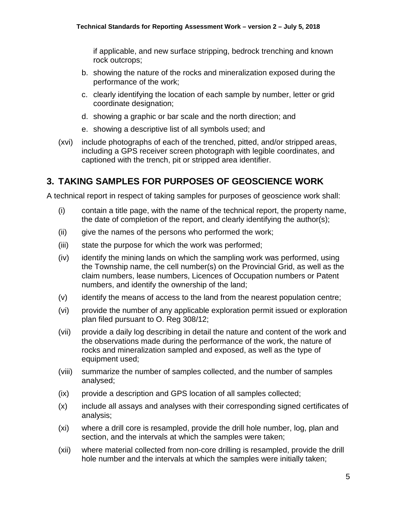if applicable, and new surface stripping, bedrock trenching and known rock outcrops;

- b. showing the nature of the rocks and mineralization exposed during the performance of the work;
- c. clearly identifying the location of each sample by number, letter or grid coordinate designation;
- d. showing a graphic or bar scale and the north direction; and
- e. showing a descriptive list of all symbols used; and
- (xvi) include photographs of each of the trenched, pitted, and/or stripped areas, including a GPS receiver screen photograph with legible coordinates, and captioned with the trench, pit or stripped area identifier.

## <span id="page-6-0"></span>**3. TAKING SAMPLES FOR PURPOSES OF GEOSCIENCE WORK**

A technical report in respect of taking samples for purposes of geoscience work shall:

- (i) contain a title page, with the name of the technical report, the property name, the date of completion of the report, and clearly identifying the author(s);
- (ii) give the names of the persons who performed the work;
- (iii) state the purpose for which the work was performed;
- (iv) identify the mining lands on which the sampling work was performed, using the Township name, the cell number(s) on the Provincial Grid, as well as the claim numbers, lease numbers, Licences of Occupation numbers or Patent numbers, and identify the ownership of the land;
- (v) identify the means of access to the land from the nearest population centre;
- (vi) provide the number of any applicable exploration permit issued or exploration plan filed pursuant to O. Reg 308/12;
- (vii) provide a daily log describing in detail the nature and content of the work and the observations made during the performance of the work, the nature of rocks and mineralization sampled and exposed, as well as the type of equipment used;
- (viii) summarize the number of samples collected, and the number of samples analysed;
- (ix) provide a description and GPS location of all samples collected;
- (x) include all assays and analyses with their corresponding signed certificates of analysis;
- (xi) where a drill core is resampled, provide the drill hole number, log, plan and section, and the intervals at which the samples were taken;
- (xii) where material collected from non-core drilling is resampled, provide the drill hole number and the intervals at which the samples were initially taken;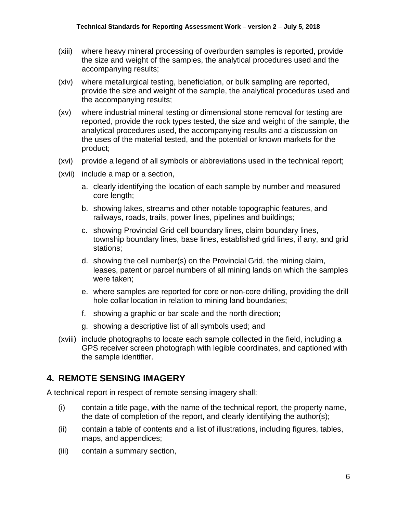- (xiii) where heavy mineral processing of overburden samples is reported, provide the size and weight of the samples, the analytical procedures used and the accompanying results;
- (xiv) where metallurgical testing, beneficiation, or bulk sampling are reported, provide the size and weight of the sample, the analytical procedures used and the accompanying results;
- (xv) where industrial mineral testing or dimensional stone removal for testing are reported, provide the rock types tested, the size and weight of the sample, the analytical procedures used, the accompanying results and a discussion on the uses of the material tested, and the potential or known markets for the product;
- (xvi) provide a legend of all symbols or abbreviations used in the technical report;
- (xvii) include a map or a section,
	- a. clearly identifying the location of each sample by number and measured core length;
	- b. showing lakes, streams and other notable topographic features, and railways, roads, trails, power lines, pipelines and buildings;
	- c. showing Provincial Grid cell boundary lines, claim boundary lines, township boundary lines, base lines, established grid lines, if any, and grid stations;
	- d. showing the cell number(s) on the Provincial Grid, the mining claim, leases, patent or parcel numbers of all mining lands on which the samples were taken;
	- e. where samples are reported for core or non-core drilling, providing the drill hole collar location in relation to mining land boundaries;
	- f. showing a graphic or bar scale and the north direction;
	- g. showing a descriptive list of all symbols used; and
- (xviii) include photographs to locate each sample collected in the field, including a GPS receiver screen photograph with legible coordinates, and captioned with the sample identifier.

#### <span id="page-7-0"></span>**4. REMOTE SENSING IMAGERY**

A technical report in respect of remote sensing imagery shall:

- (i) contain a title page, with the name of the technical report, the property name, the date of completion of the report, and clearly identifying the author(s);
- (ii) contain a table of contents and a list of illustrations, including figures, tables, maps, and appendices;
- (iii) contain a summary section,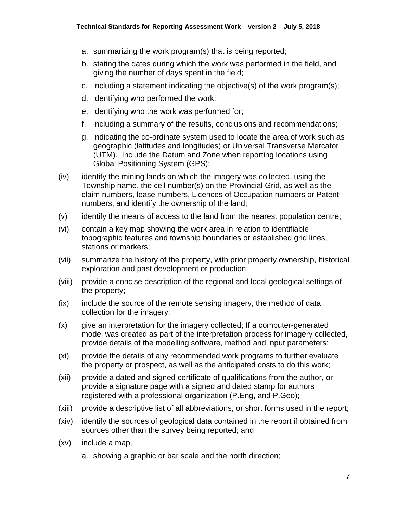- a. summarizing the work program(s) that is being reported;
- b. stating the dates during which the work was performed in the field, and giving the number of days spent in the field;
- c. including a statement indicating the objective(s) of the work program(s);
- d. identifying who performed the work;
- e. identifying who the work was performed for;
- f. including a summary of the results, conclusions and recommendations;
- g. indicating the co-ordinate system used to locate the area of work such as geographic (latitudes and longitudes) or Universal Transverse Mercator (UTM). Include the Datum and Zone when reporting locations using Global Positioning System (GPS);
- (iv) identify the mining lands on which the imagery was collected, using the Township name, the cell number(s) on the Provincial Grid, as well as the claim numbers, lease numbers, Licences of Occupation numbers or Patent numbers, and identify the ownership of the land;
- (v) identify the means of access to the land from the nearest population centre;
- (vi) contain a key map showing the work area in relation to identifiable topographic features and township boundaries or established grid lines, stations or markers;
- (vii) summarize the history of the property, with prior property ownership, historical exploration and past development or production;
- (viii) provide a concise description of the regional and local geological settings of the property;
- (ix) include the source of the remote sensing imagery, the method of data collection for the imagery;
- (x) give an interpretation for the imagery collected; If a computer-generated model was created as part of the interpretation process for imagery collected, provide details of the modelling software, method and input parameters;
- (xi) provide the details of any recommended work programs to further evaluate the property or prospect, as well as the anticipated costs to do this work;
- (xii) provide a dated and signed certificate of qualifications from the author, or provide a signature page with a signed and dated stamp for authors registered with a professional organization (P.Eng, and P.Geo);
- (xiii) provide a descriptive list of all abbreviations, or short forms used in the report;
- (xiv) identify the sources of geological data contained in the report if obtained from sources other than the survey being reported; and
- (xv) include a map,
	- a. showing a graphic or bar scale and the north direction;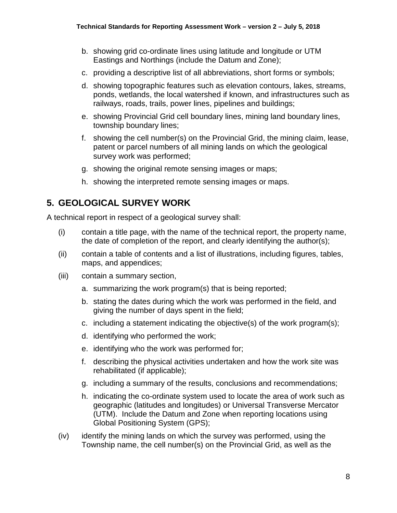- b. showing grid co-ordinate lines using latitude and longitude or UTM Eastings and Northings (include the Datum and Zone);
- c. providing a descriptive list of all abbreviations, short forms or symbols;
- d. showing topographic features such as elevation contours, lakes, streams, ponds, wetlands, the local watershed if known, and infrastructures such as railways, roads, trails, power lines, pipelines and buildings;
- e. showing Provincial Grid cell boundary lines, mining land boundary lines, township boundary lines;
- f. showing the cell number(s) on the Provincial Grid, the mining claim, lease, patent or parcel numbers of all mining lands on which the geological survey work was performed;
- g. showing the original remote sensing images or maps;
- h. showing the interpreted remote sensing images or maps.

### <span id="page-9-0"></span>**5. GEOLOGICAL SURVEY WORK**

A technical report in respect of a geological survey shall:

- (i) contain a title page, with the name of the technical report, the property name, the date of completion of the report, and clearly identifying the author(s);
- (ii) contain a table of contents and a list of illustrations, including figures, tables, maps, and appendices;
- (iii) contain a summary section,
	- a. summarizing the work program(s) that is being reported;
	- b. stating the dates during which the work was performed in the field, and giving the number of days spent in the field;
	- c. including a statement indicating the objective(s) of the work program(s);
	- d. identifying who performed the work;
	- e. identifying who the work was performed for;
	- f. describing the physical activities undertaken and how the work site was rehabilitated (if applicable);
	- g. including a summary of the results, conclusions and recommendations;
	- h. indicating the co-ordinate system used to locate the area of work such as geographic (latitudes and longitudes) or Universal Transverse Mercator (UTM). Include the Datum and Zone when reporting locations using Global Positioning System (GPS);
- (iv) identify the mining lands on which the survey was performed, using the Township name, the cell number(s) on the Provincial Grid, as well as the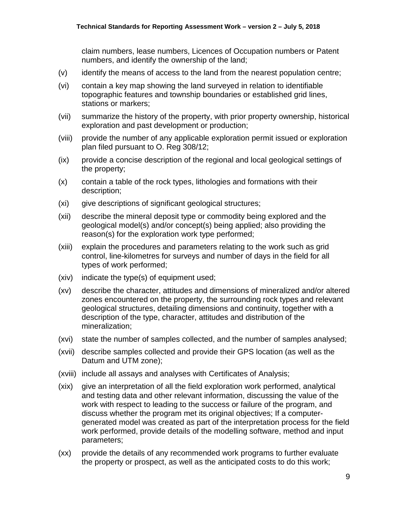claim numbers, lease numbers, Licences of Occupation numbers or Patent numbers, and identify the ownership of the land;

- (v) identify the means of access to the land from the nearest population centre;
- (vi) contain a key map showing the land surveyed in relation to identifiable topographic features and township boundaries or established grid lines, stations or markers;
- (vii) summarize the history of the property, with prior property ownership, historical exploration and past development or production;
- (viii) provide the number of any applicable exploration permit issued or exploration plan filed pursuant to O. Reg 308/12;
- (ix) provide a concise description of the regional and local geological settings of the property;
- (x) contain a table of the rock types, lithologies and formations with their description;
- (xi) give descriptions of significant geological structures;
- (xii) describe the mineral deposit type or commodity being explored and the geological model(s) and/or concept(s) being applied; also providing the reason(s) for the exploration work type performed;
- (xiii) explain the procedures and parameters relating to the work such as grid control, line-kilometres for surveys and number of days in the field for all types of work performed;
- (xiv) indicate the type(s) of equipment used;
- (xv) describe the character, attitudes and dimensions of mineralized and/or altered zones encountered on the property, the surrounding rock types and relevant geological structures, detailing dimensions and continuity, together with a description of the type, character, attitudes and distribution of the mineralization;
- (xvi) state the number of samples collected, and the number of samples analysed;
- (xvii) describe samples collected and provide their GPS location (as well as the Datum and UTM zone);
- (xviii) include all assays and analyses with Certificates of Analysis;
- (xix) give an interpretation of all the field exploration work performed, analytical and testing data and other relevant information, discussing the value of the work with respect to leading to the success or failure of the program, and discuss whether the program met its original objectives; If a computergenerated model was created as part of the interpretation process for the field work performed, provide details of the modelling software, method and input parameters;
- (xx) provide the details of any recommended work programs to further evaluate the property or prospect, as well as the anticipated costs to do this work;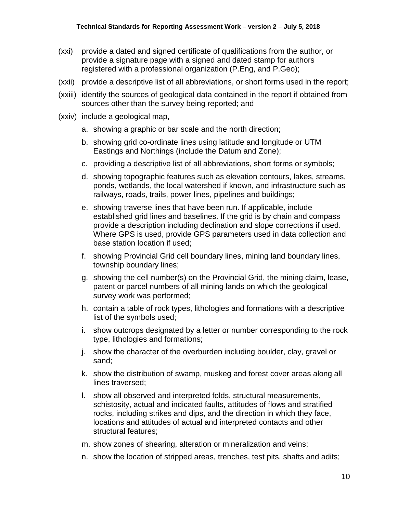- (xxi) provide a dated and signed certificate of qualifications from the author, or provide a signature page with a signed and dated stamp for authors registered with a professional organization (P.Eng, and P.Geo);
- (xxii) provide a descriptive list of all abbreviations, or short forms used in the report;
- (xxiii) identify the sources of geological data contained in the report if obtained from sources other than the survey being reported; and
- (xxiv) include a geological map,
	- a. showing a graphic or bar scale and the north direction;
	- b. showing grid co-ordinate lines using latitude and longitude or UTM Eastings and Northings (include the Datum and Zone);
	- c. providing a descriptive list of all abbreviations, short forms or symbols;
	- d. showing topographic features such as elevation contours, lakes, streams, ponds, wetlands, the local watershed if known, and infrastructure such as railways, roads, trails, power lines, pipelines and buildings;
	- e. showing traverse lines that have been run. If applicable, include established grid lines and baselines. If the grid is by chain and compass provide a description including declination and slope corrections if used. Where GPS is used, provide GPS parameters used in data collection and base station location if used;
	- f. showing Provincial Grid cell boundary lines, mining land boundary lines, township boundary lines;
	- g. showing the cell number(s) on the Provincial Grid, the mining claim, lease, patent or parcel numbers of all mining lands on which the geological survey work was performed;
	- h. contain a table of rock types, lithologies and formations with a descriptive list of the symbols used;
	- i. show outcrops designated by a letter or number corresponding to the rock type, lithologies and formations;
	- j. show the character of the overburden including boulder, clay, gravel or sand;
	- k. show the distribution of swamp, muskeg and forest cover areas along all lines traversed;
	- l. show all observed and interpreted folds, structural measurements, schistosity, actual and indicated faults, attitudes of flows and stratified rocks, including strikes and dips, and the direction in which they face, locations and attitudes of actual and interpreted contacts and other structural features;
	- m. show zones of shearing, alteration or mineralization and veins;
	- n. show the location of stripped areas, trenches, test pits, shafts and adits;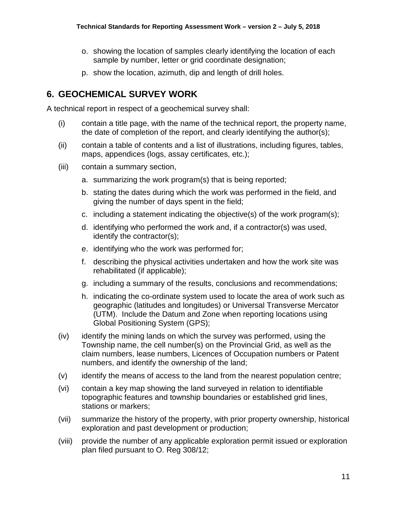- o. showing the location of samples clearly identifying the location of each sample by number, letter or grid coordinate designation;
- p. show the location, azimuth, dip and length of drill holes.

## <span id="page-12-0"></span>**6. GEOCHEMICAL SURVEY WORK**

A technical report in respect of a geochemical survey shall:

- (i) contain a title page, with the name of the technical report, the property name, the date of completion of the report, and clearly identifying the author(s);
- (ii) contain a table of contents and a list of illustrations, including figures, tables, maps, appendices (logs, assay certificates, etc.);
- (iii) contain a summary section,
	- a. summarizing the work program(s) that is being reported;
	- b. stating the dates during which the work was performed in the field, and giving the number of days spent in the field;
	- c. including a statement indicating the objective(s) of the work program(s);
	- d. identifying who performed the work and, if a contractor(s) was used, identify the contractor(s);
	- e. identifying who the work was performed for;
	- f. describing the physical activities undertaken and how the work site was rehabilitated (if applicable);
	- g. including a summary of the results, conclusions and recommendations;
	- h. indicating the co-ordinate system used to locate the area of work such as geographic (latitudes and longitudes) or Universal Transverse Mercator (UTM). Include the Datum and Zone when reporting locations using Global Positioning System (GPS);
- (iv) identify the mining lands on which the survey was performed, using the Township name, the cell number(s) on the Provincial Grid, as well as the claim numbers, lease numbers, Licences of Occupation numbers or Patent numbers, and identify the ownership of the land;
- (v) identify the means of access to the land from the nearest population centre;
- (vi) contain a key map showing the land surveyed in relation to identifiable topographic features and township boundaries or established grid lines, stations or markers;
- (vii) summarize the history of the property, with prior property ownership, historical exploration and past development or production;
- (viii) provide the number of any applicable exploration permit issued or exploration plan filed pursuant to O. Reg 308/12;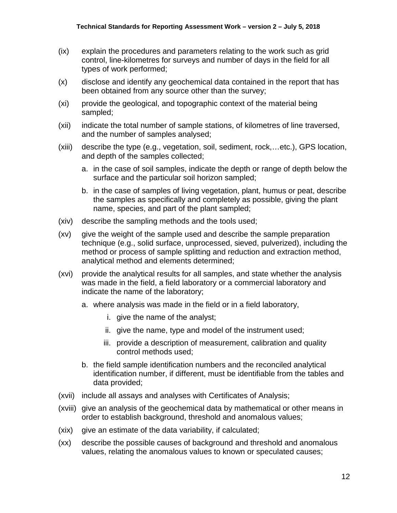- (ix) explain the procedures and parameters relating to the work such as grid control, line-kilometres for surveys and number of days in the field for all types of work performed;
- (x) disclose and identify any geochemical data contained in the report that has been obtained from any source other than the survey;
- (xi) provide the geological, and topographic context of the material being sampled;
- (xii) indicate the total number of sample stations, of kilometres of line traversed, and the number of samples analysed;
- (xiii) describe the type (e.g., vegetation, soil, sediment, rock,…etc.), GPS location, and depth of the samples collected;
	- a. in the case of soil samples, indicate the depth or range of depth below the surface and the particular soil horizon sampled;
	- b. in the case of samples of living vegetation, plant, humus or peat, describe the samples as specifically and completely as possible, giving the plant name, species, and part of the plant sampled;
- (xiv) describe the sampling methods and the tools used;
- (xv) give the weight of the sample used and describe the sample preparation technique (e.g., solid surface, unprocessed, sieved, pulverized), including the method or process of sample splitting and reduction and extraction method, analytical method and elements determined;
- (xvi) provide the analytical results for all samples, and state whether the analysis was made in the field, a field laboratory or a commercial laboratory and indicate the name of the laboratory;
	- a. where analysis was made in the field or in a field laboratory,
		- i. give the name of the analyst;
		- ii. give the name, type and model of the instrument used;
		- iii. provide a description of measurement, calibration and quality control methods used;
	- b. the field sample identification numbers and the reconciled analytical identification number, if different, must be identifiable from the tables and data provided;
- (xvii) include all assays and analyses with Certificates of Analysis;
- (xviii) give an analysis of the geochemical data by mathematical or other means in order to establish background, threshold and anomalous values;
- (xix) give an estimate of the data variability, if calculated;
- (xx) describe the possible causes of background and threshold and anomalous values, relating the anomalous values to known or speculated causes;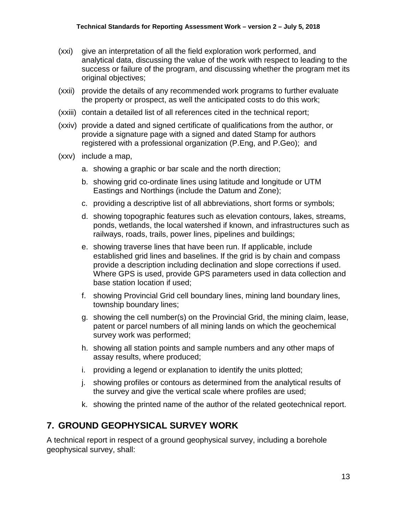- (xxi) give an interpretation of all the field exploration work performed, and analytical data, discussing the value of the work with respect to leading to the success or failure of the program, and discussing whether the program met its original objectives;
- (xxii) provide the details of any recommended work programs to further evaluate the property or prospect, as well the anticipated costs to do this work;
- (xxiii) contain a detailed list of all references cited in the technical report;
- (xxiv) provide a dated and signed certificate of qualifications from the author, or provide a signature page with a signed and dated Stamp for authors registered with a professional organization (P.Eng, and P.Geo); and
- (xxv) include a map,
	- a. showing a graphic or bar scale and the north direction;
	- b. showing grid co-ordinate lines using latitude and longitude or UTM Eastings and Northings (include the Datum and Zone);
	- c. providing a descriptive list of all abbreviations, short forms or symbols;
	- d. showing topographic features such as elevation contours, lakes, streams, ponds, wetlands, the local watershed if known, and infrastructures such as railways, roads, trails, power lines, pipelines and buildings;
	- e. showing traverse lines that have been run. If applicable, include established grid lines and baselines. If the grid is by chain and compass provide a description including declination and slope corrections if used. Where GPS is used, provide GPS parameters used in data collection and base station location if used;
	- f. showing Provincial Grid cell boundary lines, mining land boundary lines, township boundary lines;
	- g. showing the cell number(s) on the Provincial Grid, the mining claim, lease, patent or parcel numbers of all mining lands on which the geochemical survey work was performed;
	- h. showing all station points and sample numbers and any other maps of assay results, where produced;
	- i. providing a legend or explanation to identify the units plotted;
	- j. showing profiles or contours as determined from the analytical results of the survey and give the vertical scale where profiles are used;
	- k. showing the printed name of the author of the related geotechnical report.

#### <span id="page-14-0"></span>**7. GROUND GEOPHYSICAL SURVEY WORK**

A technical report in respect of a ground geophysical survey, including a borehole geophysical survey, shall: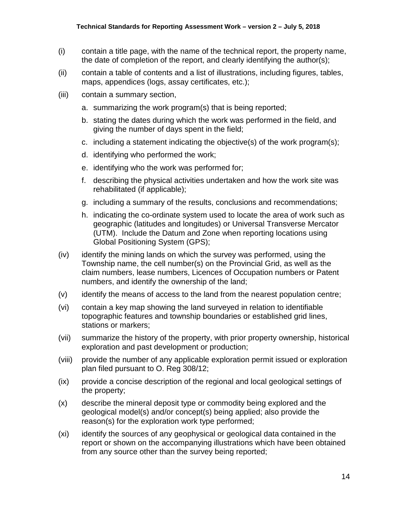- (i) contain a title page, with the name of the technical report, the property name, the date of completion of the report, and clearly identifying the author(s);
- (ii) contain a table of contents and a list of illustrations, including figures, tables, maps, appendices (logs, assay certificates, etc.);
- (iii) contain a summary section,
	- a. summarizing the work program(s) that is being reported;
	- b. stating the dates during which the work was performed in the field, and giving the number of days spent in the field;
	- c. including a statement indicating the objective(s) of the work program(s);
	- d. identifying who performed the work;
	- e. identifying who the work was performed for;
	- f. describing the physical activities undertaken and how the work site was rehabilitated (if applicable);
	- g. including a summary of the results, conclusions and recommendations;
	- h. indicating the co-ordinate system used to locate the area of work such as geographic (latitudes and longitudes) or Universal Transverse Mercator (UTM). Include the Datum and Zone when reporting locations using Global Positioning System (GPS);
- (iv) identify the mining lands on which the survey was performed, using the Township name, the cell number(s) on the Provincial Grid, as well as the claim numbers, lease numbers, Licences of Occupation numbers or Patent numbers, and identify the ownership of the land;
- (v) identify the means of access to the land from the nearest population centre;
- (vi) contain a key map showing the land surveyed in relation to identifiable topographic features and township boundaries or established grid lines, stations or markers;
- (vii) summarize the history of the property, with prior property ownership, historical exploration and past development or production;
- (viii) provide the number of any applicable exploration permit issued or exploration plan filed pursuant to O. Reg 308/12;
- (ix) provide a concise description of the regional and local geological settings of the property;
- (x) describe the mineral deposit type or commodity being explored and the geological model(s) and/or concept(s) being applied; also provide the reason(s) for the exploration work type performed;
- (xi) identify the sources of any geophysical or geological data contained in the report or shown on the accompanying illustrations which have been obtained from any source other than the survey being reported;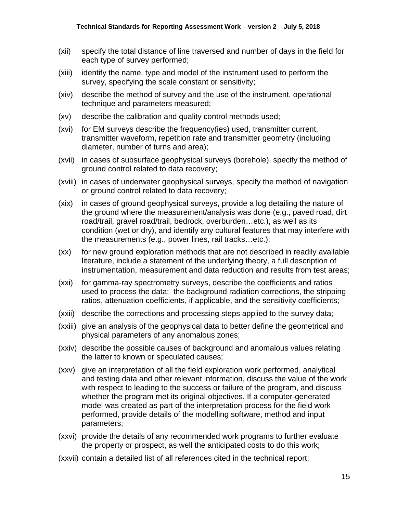- (xii) specify the total distance of line traversed and number of days in the field for each type of survey performed;
- (xiii) identify the name, type and model of the instrument used to perform the survey, specifying the scale constant or sensitivity;
- (xiv) describe the method of survey and the use of the instrument, operational technique and parameters measured;
- (xv) describe the calibration and quality control methods used;
- (xvi) for EM surveys describe the frequency(ies) used, transmitter current, transmitter waveform, repetition rate and transmitter geometry (including diameter, number of turns and area);
- (xvii) in cases of subsurface geophysical surveys (borehole), specify the method of ground control related to data recovery;
- (xviii) in cases of underwater geophysical surveys, specify the method of navigation or ground control related to data recovery;
- (xix) in cases of ground geophysical surveys, provide a log detailing the nature of the ground where the measurement/analysis was done (e.g., paved road, dirt road/trail, gravel road/trail, bedrock, overburden…etc.), as well as its condition (wet or dry), and identify any cultural features that may interfere with the measurements (e.g., power lines, rail tracks…etc.);
- (xx) for new ground exploration methods that are not described in readily available literature, include a statement of the underlying theory, a full description of instrumentation, measurement and data reduction and results from test areas;
- (xxi) for gamma-ray spectrometry surveys, describe the coefficients and ratios used to process the data: the background radiation corrections, the stripping ratios, attenuation coefficients, if applicable, and the sensitivity coefficients;
- (xxii) describe the corrections and processing steps applied to the survey data;
- (xxiii) give an analysis of the geophysical data to better define the geometrical and physical parameters of any anomalous zones;
- (xxiv) describe the possible causes of background and anomalous values relating the latter to known or speculated causes;
- (xxv) give an interpretation of all the field exploration work performed, analytical and testing data and other relevant information, discuss the value of the work with respect to leading to the success or failure of the program, and discuss whether the program met its original objectives. If a computer-generated model was created as part of the interpretation process for the field work performed, provide details of the modelling software, method and input parameters;
- (xxvi) provide the details of any recommended work programs to further evaluate the property or prospect, as well the anticipated costs to do this work;
- (xxvii) contain a detailed list of all references cited in the technical report;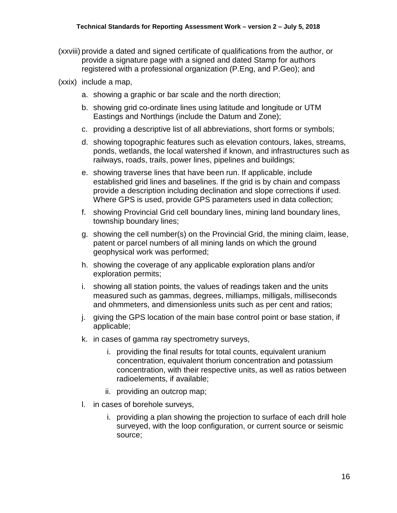- (xxviii) provide a dated and signed certificate of qualifications from the author, or provide a signature page with a signed and dated Stamp for authors registered with a professional organization (P.Eng, and P.Geo); and
- (xxix) include a map,
	- a. showing a graphic or bar scale and the north direction;
	- b. showing grid co-ordinate lines using latitude and longitude or UTM Eastings and Northings (include the Datum and Zone);
	- c. providing a descriptive list of all abbreviations, short forms or symbols;
	- d. showing topographic features such as elevation contours, lakes, streams, ponds, wetlands, the local watershed if known, and infrastructures such as railways, roads, trails, power lines, pipelines and buildings;
	- e. showing traverse lines that have been run. If applicable, include established grid lines and baselines. If the grid is by chain and compass provide a description including declination and slope corrections if used. Where GPS is used, provide GPS parameters used in data collection;
	- f. showing Provincial Grid cell boundary lines, mining land boundary lines, township boundary lines;
	- g. showing the cell number(s) on the Provincial Grid, the mining claim, lease, patent or parcel numbers of all mining lands on which the ground geophysical work was performed;
	- h. showing the coverage of any applicable exploration plans and/or exploration permits;
	- i. showing all station points, the values of readings taken and the units measured such as gammas, degrees, milliamps, milligals, milliseconds and ohmmeters, and dimensionless units such as per cent and ratios;
	- j. giving the GPS location of the main base control point or base station, if applicable;
	- k. in cases of gamma ray spectrometry surveys,
		- i. providing the final results for total counts, equivalent uranium concentration, equivalent thorium concentration and potassium concentration, with their respective units, as well as ratios between radioelements, if available;
		- ii. providing an outcrop map;
	- l. in cases of borehole surveys,
		- i. providing a plan showing the projection to surface of each drill hole surveyed, with the loop configuration, or current source or seismic source;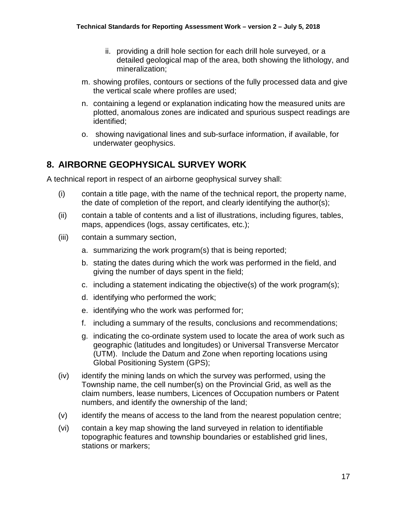- ii. providing a drill hole section for each drill hole surveyed, or a detailed geological map of the area, both showing the lithology, and mineralization;
- m. showing profiles, contours or sections of the fully processed data and give the vertical scale where profiles are used;
- n. containing a legend or explanation indicating how the measured units are plotted, anomalous zones are indicated and spurious suspect readings are identified;
- o. showing navigational lines and sub-surface information, if available, for underwater geophysics.

#### <span id="page-18-0"></span>**8. AIRBORNE GEOPHYSICAL SURVEY WORK**

A technical report in respect of an airborne geophysical survey shall:

- (i) contain a title page, with the name of the technical report, the property name, the date of completion of the report, and clearly identifying the author(s);
- (ii) contain a table of contents and a list of illustrations, including figures, tables, maps, appendices (logs, assay certificates, etc.);
- (iii) contain a summary section,
	- a. summarizing the work program(s) that is being reported;
	- b. stating the dates during which the work was performed in the field, and giving the number of days spent in the field;
	- c. including a statement indicating the objective(s) of the work program(s);
	- d. identifying who performed the work;
	- e. identifying who the work was performed for;
	- f. including a summary of the results, conclusions and recommendations;
	- g. indicating the co-ordinate system used to locate the area of work such as geographic (latitudes and longitudes) or Universal Transverse Mercator (UTM). Include the Datum and Zone when reporting locations using Global Positioning System (GPS);
- (iv) identify the mining lands on which the survey was performed, using the Township name, the cell number(s) on the Provincial Grid, as well as the claim numbers, lease numbers, Licences of Occupation numbers or Patent numbers, and identify the ownership of the land;
- (v) identify the means of access to the land from the nearest population centre;
- (vi) contain a key map showing the land surveyed in relation to identifiable topographic features and township boundaries or established grid lines, stations or markers;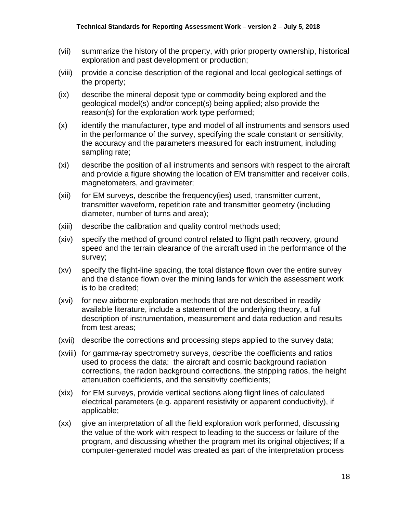- (vii) summarize the history of the property, with prior property ownership, historical exploration and past development or production;
- (viii) provide a concise description of the regional and local geological settings of the property;
- (ix) describe the mineral deposit type or commodity being explored and the geological model(s) and/or concept(s) being applied; also provide the reason(s) for the exploration work type performed;
- (x) identify the manufacturer, type and model of all instruments and sensors used in the performance of the survey, specifying the scale constant or sensitivity, the accuracy and the parameters measured for each instrument, including sampling rate;
- (xi) describe the position of all instruments and sensors with respect to the aircraft and provide a figure showing the location of EM transmitter and receiver coils, magnetometers, and gravimeter;
- (xii) for EM surveys, describe the frequency(ies) used, transmitter current, transmitter waveform, repetition rate and transmitter geometry (including diameter, number of turns and area);
- (xiii) describe the calibration and quality control methods used;
- (xiv) specify the method of ground control related to flight path recovery, ground speed and the terrain clearance of the aircraft used in the performance of the survey;
- (xv) specify the flight-line spacing, the total distance flown over the entire survey and the distance flown over the mining lands for which the assessment work is to be credited;
- (xvi) for new airborne exploration methods that are not described in readily available literature, include a statement of the underlying theory, a full description of instrumentation, measurement and data reduction and results from test areas;
- (xvii) describe the corrections and processing steps applied to the survey data;
- (xviii) for gamma-ray spectrometry surveys, describe the coefficients and ratios used to process the data: the aircraft and cosmic background radiation corrections, the radon background corrections, the stripping ratios, the height attenuation coefficients, and the sensitivity coefficients;
- (xix) for EM surveys, provide vertical sections along flight lines of calculated electrical parameters (e.g. apparent resistivity or apparent conductivity), if applicable;
- (xx) give an interpretation of all the field exploration work performed, discussing the value of the work with respect to leading to the success or failure of the program, and discussing whether the program met its original objectives; If a computer-generated model was created as part of the interpretation process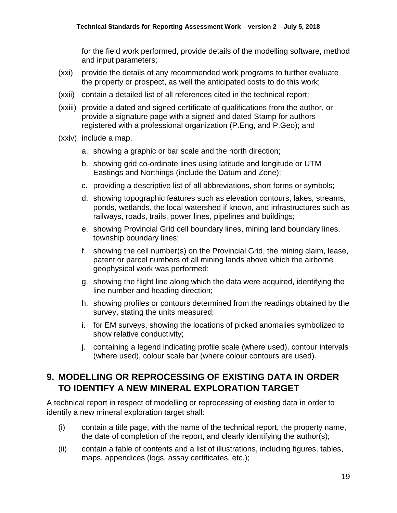for the field work performed, provide details of the modelling software, method and input parameters;

- (xxi) provide the details of any recommended work programs to further evaluate the property or prospect, as well the anticipated costs to do this work;
- (xxii) contain a detailed list of all references cited in the technical report;
- (xxiii) provide a dated and signed certificate of qualifications from the author, or provide a signature page with a signed and dated Stamp for authors registered with a professional organization (P.Eng, and P.Geo); and
- (xxiv) include a map,
	- a. showing a graphic or bar scale and the north direction;
	- b. showing grid co-ordinate lines using latitude and longitude or UTM Eastings and Northings (include the Datum and Zone);
	- c. providing a descriptive list of all abbreviations, short forms or symbols;
	- d. showing topographic features such as elevation contours, lakes, streams, ponds, wetlands, the local watershed if known, and infrastructures such as railways, roads, trails, power lines, pipelines and buildings;
	- e. showing Provincial Grid cell boundary lines, mining land boundary lines, township boundary lines;
	- f. showing the cell number(s) on the Provincial Grid, the mining claim, lease, patent or parcel numbers of all mining lands above which the airborne geophysical work was performed;
	- g. showing the flight line along which the data were acquired, identifying the line number and heading direction;
	- h. showing profiles or contours determined from the readings obtained by the survey, stating the units measured;
	- i. for EM surveys, showing the locations of picked anomalies symbolized to show relative conductivity;
	- j. containing a legend indicating profile scale (where used), contour intervals (where used), colour scale bar (where colour contours are used).

### <span id="page-20-0"></span>**9. MODELLING OR REPROCESSING OF EXISTING DATA IN ORDER TO IDENTIFY A NEW MINERAL EXPLORATION TARGET**

A technical report in respect of modelling or reprocessing of existing data in order to identify a new mineral exploration target shall:

- (i) contain a title page, with the name of the technical report, the property name, the date of completion of the report, and clearly identifying the author(s);
- (ii) contain a table of contents and a list of illustrations, including figures, tables, maps, appendices (logs, assay certificates, etc.);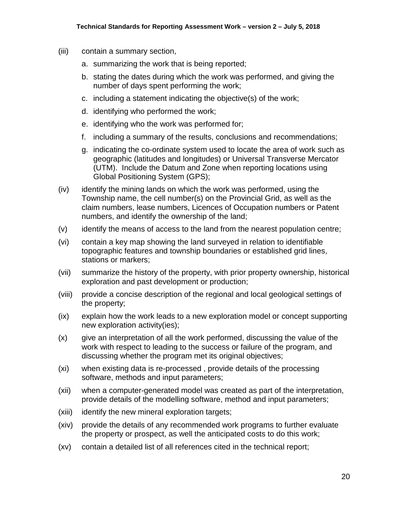- (iii) contain a summary section,
	- a. summarizing the work that is being reported;
	- b. stating the dates during which the work was performed, and giving the number of days spent performing the work;
	- c. including a statement indicating the objective(s) of the work;
	- d. identifying who performed the work;
	- e. identifying who the work was performed for;
	- f. including a summary of the results, conclusions and recommendations;
	- g. indicating the co-ordinate system used to locate the area of work such as geographic (latitudes and longitudes) or Universal Transverse Mercator (UTM). Include the Datum and Zone when reporting locations using Global Positioning System (GPS);
- (iv) identify the mining lands on which the work was performed, using the Township name, the cell number(s) on the Provincial Grid, as well as the claim numbers, lease numbers, Licences of Occupation numbers or Patent numbers, and identify the ownership of the land;
- (v) identify the means of access to the land from the nearest population centre;
- (vi) contain a key map showing the land surveyed in relation to identifiable topographic features and township boundaries or established grid lines, stations or markers;
- (vii) summarize the history of the property, with prior property ownership, historical exploration and past development or production;
- (viii) provide a concise description of the regional and local geological settings of the property;
- (ix) explain how the work leads to a new exploration model or concept supporting new exploration activity(ies);
- (x) give an interpretation of all the work performed, discussing the value of the work with respect to leading to the success or failure of the program, and discussing whether the program met its original objectives;
- (xi) when existing data is re-processed , provide details of the processing software, methods and input parameters;
- (xii) when a computer-generated model was created as part of the interpretation, provide details of the modelling software, method and input parameters;
- (xiii) identify the new mineral exploration targets;
- (xiv) provide the details of any recommended work programs to further evaluate the property or prospect, as well the anticipated costs to do this work;
- (xv) contain a detailed list of all references cited in the technical report;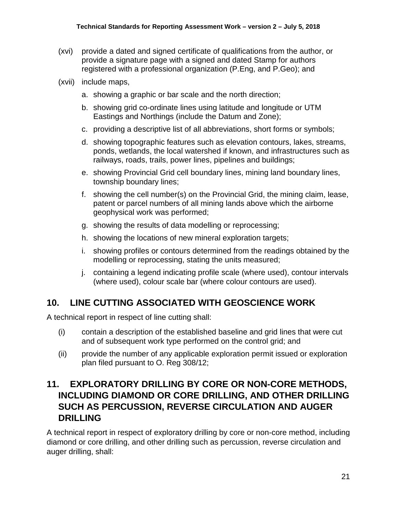- (xvi) provide a dated and signed certificate of qualifications from the author, or provide a signature page with a signed and dated Stamp for authors registered with a professional organization (P.Eng, and P.Geo); and
- (xvii) include maps,
	- a. showing a graphic or bar scale and the north direction;
	- b. showing grid co-ordinate lines using latitude and longitude or UTM Eastings and Northings (include the Datum and Zone);
	- c. providing a descriptive list of all abbreviations, short forms or symbols;
	- d. showing topographic features such as elevation contours, lakes, streams, ponds, wetlands, the local watershed if known, and infrastructures such as railways, roads, trails, power lines, pipelines and buildings;
	- e. showing Provincial Grid cell boundary lines, mining land boundary lines, township boundary lines;
	- f. showing the cell number(s) on the Provincial Grid, the mining claim, lease, patent or parcel numbers of all mining lands above which the airborne geophysical work was performed;
	- g. showing the results of data modelling or reprocessing;
	- h. showing the locations of new mineral exploration targets;
	- i. showing profiles or contours determined from the readings obtained by the modelling or reprocessing, stating the units measured;
	- j. containing a legend indicating profile scale (where used), contour intervals (where used), colour scale bar (where colour contours are used).

## <span id="page-22-0"></span>**10. LINE CUTTING ASSOCIATED WITH GEOSCIENCE WORK**

A technical report in respect of line cutting shall:

- (i) contain a description of the established baseline and grid lines that were cut and of subsequent work type performed on the control grid; and
- (ii) provide the number of any applicable exploration permit issued or exploration plan filed pursuant to O. Reg 308/12;

## <span id="page-22-1"></span>**11. EXPLORATORY DRILLING BY CORE OR NON-CORE METHODS, INCLUDING DIAMOND OR CORE DRILLING, AND OTHER DRILLING SUCH AS PERCUSSION, REVERSE CIRCULATION AND AUGER DRILLING**

A technical report in respect of exploratory drilling by core or non-core method, including diamond or core drilling, and other drilling such as percussion, reverse circulation and auger drilling, shall: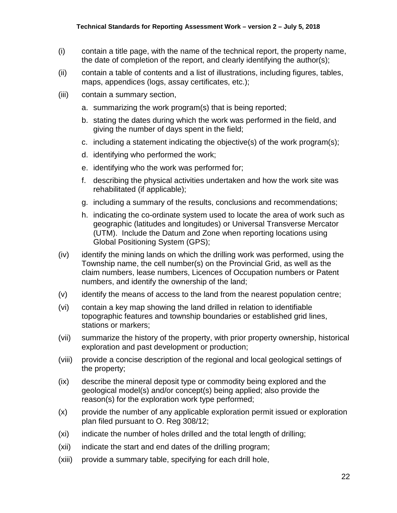- (i) contain a title page, with the name of the technical report, the property name, the date of completion of the report, and clearly identifying the author(s);
- (ii) contain a table of contents and a list of illustrations, including figures, tables, maps, appendices (logs, assay certificates, etc.);
- (iii) contain a summary section,
	- a. summarizing the work program(s) that is being reported;
	- b. stating the dates during which the work was performed in the field, and giving the number of days spent in the field;
	- c. including a statement indicating the objective(s) of the work program(s);
	- d. identifying who performed the work;
	- e. identifying who the work was performed for;
	- f. describing the physical activities undertaken and how the work site was rehabilitated (if applicable);
	- g. including a summary of the results, conclusions and recommendations;
	- h. indicating the co-ordinate system used to locate the area of work such as geographic (latitudes and longitudes) or Universal Transverse Mercator (UTM). Include the Datum and Zone when reporting locations using Global Positioning System (GPS);
- (iv) identify the mining lands on which the drilling work was performed, using the Township name, the cell number(s) on the Provincial Grid, as well as the claim numbers, lease numbers, Licences of Occupation numbers or Patent numbers, and identify the ownership of the land;
- (v) identify the means of access to the land from the nearest population centre;
- (vi) contain a key map showing the land drilled in relation to identifiable topographic features and township boundaries or established grid lines, stations or markers;
- (vii) summarize the history of the property, with prior property ownership, historical exploration and past development or production;
- (viii) provide a concise description of the regional and local geological settings of the property;
- (ix) describe the mineral deposit type or commodity being explored and the geological model(s) and/or concept(s) being applied; also provide the reason(s) for the exploration work type performed;
- (x) provide the number of any applicable exploration permit issued or exploration plan filed pursuant to O. Reg 308/12;
- (xi) indicate the number of holes drilled and the total length of drilling;
- (xii) indicate the start and end dates of the drilling program;
- (xiii) provide a summary table, specifying for each drill hole,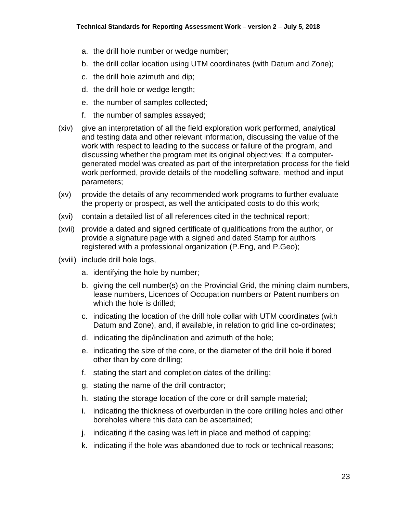- a. the drill hole number or wedge number;
- b. the drill collar location using UTM coordinates (with Datum and Zone);
- c. the drill hole azimuth and dip;
- d. the drill hole or wedge length;
- e. the number of samples collected;
- f. the number of samples assayed;
- (xiv) give an interpretation of all the field exploration work performed, analytical and testing data and other relevant information, discussing the value of the work with respect to leading to the success or failure of the program, and discussing whether the program met its original objectives; If a computergenerated model was created as part of the interpretation process for the field work performed, provide details of the modelling software, method and input parameters;
- (xv) provide the details of any recommended work programs to further evaluate the property or prospect, as well the anticipated costs to do this work;
- (xvi) contain a detailed list of all references cited in the technical report;
- (xvii) provide a dated and signed certificate of qualifications from the author, or provide a signature page with a signed and dated Stamp for authors registered with a professional organization (P.Eng, and P.Geo);
- (xviii) include drill hole logs,
	- a. identifying the hole by number;
	- b. giving the cell number(s) on the Provincial Grid, the mining claim numbers, lease numbers, Licences of Occupation numbers or Patent numbers on which the hole is drilled;
	- c. indicating the location of the drill hole collar with UTM coordinates (with Datum and Zone), and, if available, in relation to grid line co-ordinates;
	- d. indicating the dip/inclination and azimuth of the hole;
	- e. indicating the size of the core, or the diameter of the drill hole if bored other than by core drilling;
	- f. stating the start and completion dates of the drilling;
	- g. stating the name of the drill contractor;
	- h. stating the storage location of the core or drill sample material;
	- i. indicating the thickness of overburden in the core drilling holes and other boreholes where this data can be ascertained;
	- j. indicating if the casing was left in place and method of capping;
	- k. indicating if the hole was abandoned due to rock or technical reasons;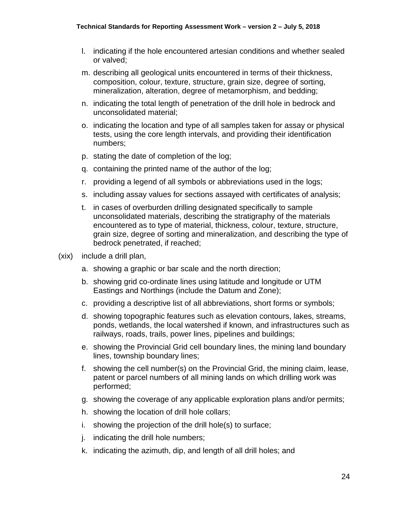- l. indicating if the hole encountered artesian conditions and whether sealed or valved;
- m. describing all geological units encountered in terms of their thickness, composition, colour, texture, structure, grain size, degree of sorting, mineralization, alteration, degree of metamorphism, and bedding;
- n. indicating the total length of penetration of the drill hole in bedrock and unconsolidated material;
- o. indicating the location and type of all samples taken for assay or physical tests, using the core length intervals, and providing their identification numbers;
- p. stating the date of completion of the log;
- q. containing the printed name of the author of the log;
- r. providing a legend of all symbols or abbreviations used in the logs;
- s. including assay values for sections assayed with certificates of analysis;
- t. in cases of overburden drilling designated specifically to sample unconsolidated materials, describing the stratigraphy of the materials encountered as to type of material, thickness, colour, texture, structure, grain size, degree of sorting and mineralization, and describing the type of bedrock penetrated, if reached;
- (xix) include a drill plan,
	- a. showing a graphic or bar scale and the north direction;
	- b. showing grid co-ordinate lines using latitude and longitude or UTM Eastings and Northings (include the Datum and Zone);
	- c. providing a descriptive list of all abbreviations, short forms or symbols;
	- d. showing topographic features such as elevation contours, lakes, streams, ponds, wetlands, the local watershed if known, and infrastructures such as railways, roads, trails, power lines, pipelines and buildings;
	- e. showing the Provincial Grid cell boundary lines, the mining land boundary lines, township boundary lines;
	- f. showing the cell number(s) on the Provincial Grid, the mining claim, lease, patent or parcel numbers of all mining lands on which drilling work was performed;
	- g. showing the coverage of any applicable exploration plans and/or permits;
	- h. showing the location of drill hole collars;
	- i. showing the projection of the drill hole(s) to surface;
	- j. indicating the drill hole numbers;
	- k. indicating the azimuth, dip, and length of all drill holes; and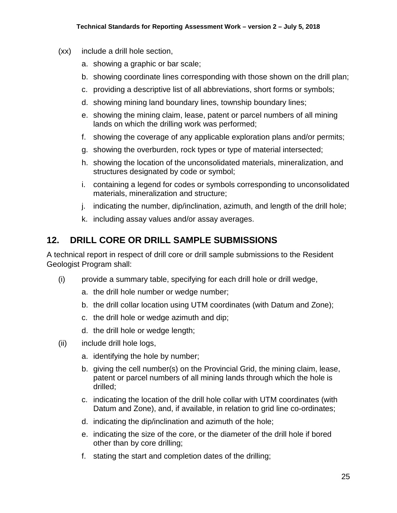- (xx) include a drill hole section,
	- a. showing a graphic or bar scale;
	- b. showing coordinate lines corresponding with those shown on the drill plan;
	- c. providing a descriptive list of all abbreviations, short forms or symbols;
	- d. showing mining land boundary lines, township boundary lines;
	- e. showing the mining claim, lease, patent or parcel numbers of all mining lands on which the drilling work was performed;
	- f. showing the coverage of any applicable exploration plans and/or permits;
	- g. showing the overburden, rock types or type of material intersected;
	- h. showing the location of the unconsolidated materials, mineralization, and structures designated by code or symbol;
	- i. containing a legend for codes or symbols corresponding to unconsolidated materials, mineralization and structure;
	- j. indicating the number, dip/inclination, azimuth, and length of the drill hole;
	- k. including assay values and/or assay averages.

### <span id="page-26-0"></span>**12. DRILL CORE OR DRILL SAMPLE SUBMISSIONS**

A technical report in respect of drill core or drill sample submissions to the Resident Geologist Program shall:

- (i) provide a summary table, specifying for each drill hole or drill wedge,
	- a. the drill hole number or wedge number;
	- b. the drill collar location using UTM coordinates (with Datum and Zone);
	- c. the drill hole or wedge azimuth and dip;
	- d. the drill hole or wedge length;
- (ii) include drill hole logs,
	- a. identifying the hole by number;
	- b. giving the cell number(s) on the Provincial Grid, the mining claim, lease, patent or parcel numbers of all mining lands through which the hole is drilled;
	- c. indicating the location of the drill hole collar with UTM coordinates (with Datum and Zone), and, if available, in relation to grid line co-ordinates;
	- d. indicating the dip/inclination and azimuth of the hole;
	- e. indicating the size of the core, or the diameter of the drill hole if bored other than by core drilling;
	- f. stating the start and completion dates of the drilling;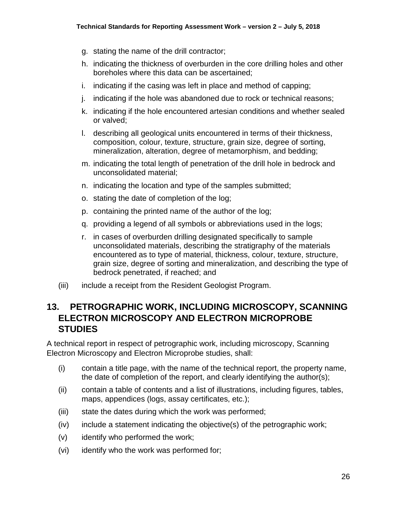- g. stating the name of the drill contractor;
- h. indicating the thickness of overburden in the core drilling holes and other boreholes where this data can be ascertained;
- i. indicating if the casing was left in place and method of capping;
- j. indicating if the hole was abandoned due to rock or technical reasons;
- k. indicating if the hole encountered artesian conditions and whether sealed or valved;
- l. describing all geological units encountered in terms of their thickness, composition, colour, texture, structure, grain size, degree of sorting, mineralization, alteration, degree of metamorphism, and bedding;
- m. indicating the total length of penetration of the drill hole in bedrock and unconsolidated material;
- n. indicating the location and type of the samples submitted;
- o. stating the date of completion of the log;
- p. containing the printed name of the author of the log;
- q. providing a legend of all symbols or abbreviations used in the logs;
- r. in cases of overburden drilling designated specifically to sample unconsolidated materials, describing the stratigraphy of the materials encountered as to type of material, thickness, colour, texture, structure, grain size, degree of sorting and mineralization, and describing the type of bedrock penetrated, if reached; and
- (iii) include a receipt from the Resident Geologist Program.

### <span id="page-27-0"></span>**13. PETROGRAPHIC WORK, INCLUDING MICROSCOPY, SCANNING ELECTRON MICROSCOPY AND ELECTRON MICROPROBE STUDIES**

A technical report in respect of petrographic work, including microscopy, Scanning Electron Microscopy and Electron Microprobe studies, shall:

- (i) contain a title page, with the name of the technical report, the property name, the date of completion of the report, and clearly identifying the author(s);
- (ii) contain a table of contents and a list of illustrations, including figures, tables, maps, appendices (logs, assay certificates, etc.);
- (iii) state the dates during which the work was performed;
- (iv) include a statement indicating the objective(s) of the petrographic work;
- (v) identify who performed the work;
- (vi) identify who the work was performed for;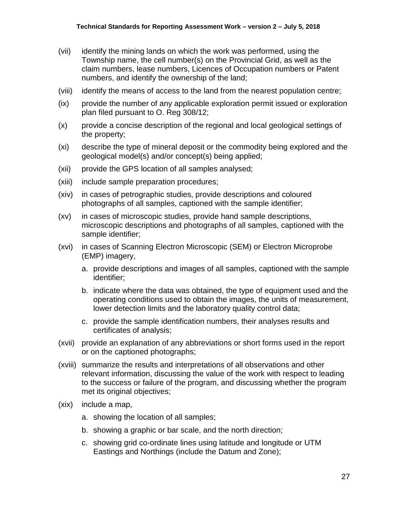- (vii) identify the mining lands on which the work was performed, using the Township name, the cell number(s) on the Provincial Grid, as well as the claim numbers, lease numbers, Licences of Occupation numbers or Patent numbers, and identify the ownership of the land;
- (viii) identify the means of access to the land from the nearest population centre;
- (ix) provide the number of any applicable exploration permit issued or exploration plan filed pursuant to O. Reg 308/12;
- (x) provide a concise description of the regional and local geological settings of the property;
- (xi) describe the type of mineral deposit or the commodity being explored and the geological model(s) and/or concept(s) being applied;
- (xii) provide the GPS location of all samples analysed;
- (xiii) include sample preparation procedures;
- (xiv) in cases of petrographic studies, provide descriptions and coloured photographs of all samples, captioned with the sample identifier;
- (xv) in cases of microscopic studies, provide hand sample descriptions, microscopic descriptions and photographs of all samples, captioned with the sample identifier;
- (xvi) in cases of Scanning Electron Microscopic (SEM) or Electron Microprobe (EMP) imagery,
	- a. provide descriptions and images of all samples, captioned with the sample identifier;
	- b. indicate where the data was obtained, the type of equipment used and the operating conditions used to obtain the images, the units of measurement, lower detection limits and the laboratory quality control data;
	- c. provide the sample identification numbers, their analyses results and certificates of analysis;
- (xvii) provide an explanation of any abbreviations or short forms used in the report or on the captioned photographs;
- (xviii) summarize the results and interpretations of all observations and other relevant information, discussing the value of the work with respect to leading to the success or failure of the program, and discussing whether the program met its original objectives;
- (xix) include a map,
	- a. showing the location of all samples;
	- b. showing a graphic or bar scale, and the north direction;
	- c. showing grid co-ordinate lines using latitude and longitude or UTM Eastings and Northings (include the Datum and Zone);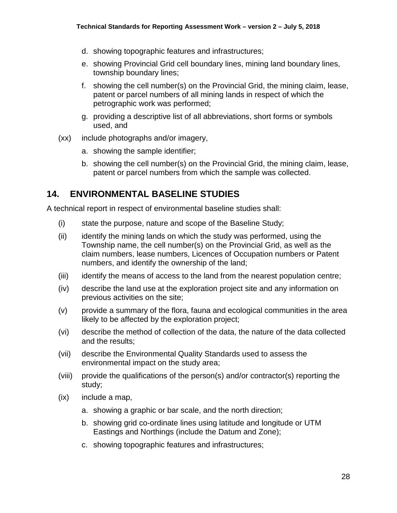- d. showing topographic features and infrastructures;
- e. showing Provincial Grid cell boundary lines, mining land boundary lines, township boundary lines;
- f. showing the cell number(s) on the Provincial Grid, the mining claim, lease, patent or parcel numbers of all mining lands in respect of which the petrographic work was performed;
- g. providing a descriptive list of all abbreviations, short forms or symbols used, and
- (xx) include photographs and/or imagery,
	- a. showing the sample identifier;
	- b. showing the cell number(s) on the Provincial Grid, the mining claim, lease, patent or parcel numbers from which the sample was collected.

### <span id="page-29-0"></span>**14. ENVIRONMENTAL BASELINE STUDIES**

A technical report in respect of environmental baseline studies shall:

- (i) state the purpose, nature and scope of the Baseline Study;
- (ii) identify the mining lands on which the study was performed, using the Township name, the cell number(s) on the Provincial Grid, as well as the claim numbers, lease numbers, Licences of Occupation numbers or Patent numbers, and identify the ownership of the land;
- (iii) identify the means of access to the land from the nearest population centre;
- (iv) describe the land use at the exploration project site and any information on previous activities on the site;
- (v) provide a summary of the flora, fauna and ecological communities in the area likely to be affected by the exploration project;
- (vi) describe the method of collection of the data, the nature of the data collected and the results;
- (vii) describe the Environmental Quality Standards used to assess the environmental impact on the study area;
- (viii) provide the qualifications of the person(s) and/or contractor(s) reporting the study;
- (ix) include a map,
	- a. showing a graphic or bar scale, and the north direction;
	- b. showing grid co-ordinate lines using latitude and longitude or UTM Eastings and Northings (include the Datum and Zone);
	- c. showing topographic features and infrastructures;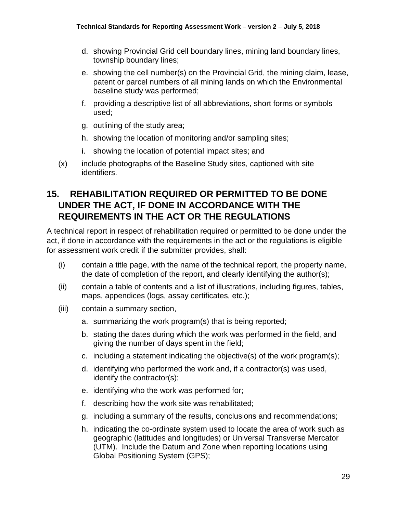- d. showing Provincial Grid cell boundary lines, mining land boundary lines, township boundary lines;
- e. showing the cell number(s) on the Provincial Grid, the mining claim, lease, patent or parcel numbers of all mining lands on which the Environmental baseline study was performed;
- f. providing a descriptive list of all abbreviations, short forms or symbols used;
- g. outlining of the study area;
- h. showing the location of monitoring and/or sampling sites;
- i. showing the location of potential impact sites; and
- (x) include photographs of the Baseline Study sites, captioned with site identifiers.

## <span id="page-30-0"></span>**15. REHABILITATION REQUIRED OR PERMITTED TO BE DONE UNDER THE ACT, IF DONE IN ACCORDANCE WITH THE REQUIREMENTS IN THE ACT OR THE REGULATIONS**

A technical report in respect of rehabilitation required or permitted to be done under the act, if done in accordance with the requirements in the act or the regulations is eligible for assessment work credit if the submitter provides, shall:

- (i) contain a title page, with the name of the technical report, the property name, the date of completion of the report, and clearly identifying the author(s);
- (ii) contain a table of contents and a list of illustrations, including figures, tables, maps, appendices (logs, assay certificates, etc.);
- (iii) contain a summary section,
	- a. summarizing the work program(s) that is being reported;
	- b. stating the dates during which the work was performed in the field, and giving the number of days spent in the field;
	- c. including a statement indicating the objective(s) of the work program(s);
	- d. identifying who performed the work and, if a contractor(s) was used, identify the contractor(s);
	- e. identifying who the work was performed for;
	- f. describing how the work site was rehabilitated;
	- g. including a summary of the results, conclusions and recommendations;
	- h. indicating the co-ordinate system used to locate the area of work such as geographic (latitudes and longitudes) or Universal Transverse Mercator (UTM). Include the Datum and Zone when reporting locations using Global Positioning System (GPS);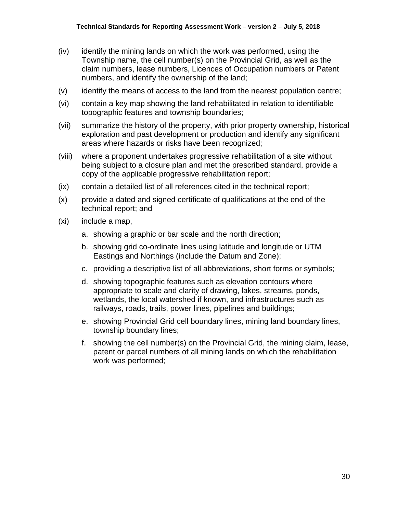- (iv) identify the mining lands on which the work was performed, using the Township name, the cell number(s) on the Provincial Grid, as well as the claim numbers, lease numbers, Licences of Occupation numbers or Patent numbers, and identify the ownership of the land;
- (v) identify the means of access to the land from the nearest population centre;
- (vi) contain a key map showing the land rehabilitated in relation to identifiable topographic features and township boundaries;
- (vii) summarize the history of the property, with prior property ownership, historical exploration and past development or production and identify any significant areas where hazards or risks have been recognized;
- (viii) where a proponent undertakes progressive rehabilitation of a site without being subject to a closure plan and met the prescribed standard, provide a copy of the applicable progressive rehabilitation report;
- (ix) contain a detailed list of all references cited in the technical report;
- (x) provide a dated and signed certificate of qualifications at the end of the technical report; and
- (xi) include a map,
	- a. showing a graphic or bar scale and the north direction;
	- b. showing grid co-ordinate lines using latitude and longitude or UTM Eastings and Northings (include the Datum and Zone);
	- c. providing a descriptive list of all abbreviations, short forms or symbols;
	- d. showing topographic features such as elevation contours where appropriate to scale and clarity of drawing, lakes, streams, ponds, wetlands, the local watershed if known, and infrastructures such as railways, roads, trails, power lines, pipelines and buildings;
	- e. showing Provincial Grid cell boundary lines, mining land boundary lines, township boundary lines;
	- f. showing the cell number(s) on the Provincial Grid, the mining claim, lease, patent or parcel numbers of all mining lands on which the rehabilitation work was performed;